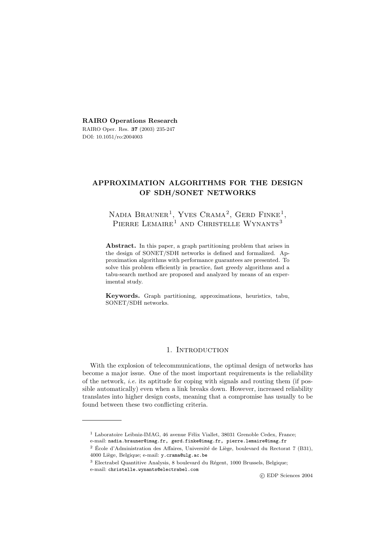**RAIRO Operations Research** RAIRO Oper. Res. **37** (2003) 235-247 DOI: 10.1051/ro:2004003

# **APPROXIMATION ALGORITHMS FOR THE DESIGN OF SDH/SONET NETWORKS**

NADIA BRAUNER<sup>1</sup>, YVES CRAMA<sup>2</sup>, GERD FINKE<sup>1</sup>, PIERRE LEMAIRE<sup>1</sup> AND CHRISTELLE WYNANTS<sup>3</sup>

**Abstract.** In this paper, a graph partitioning problem that arises in the design of SONET/SDH networks is defined and formalized. Approximation algorithms with performance guarantees are presented. To solve this problem efficiently in practice, fast greedy algorithms and a tabu-search method are proposed and analyzed by means of an experimental study.

**Keywords.** Graph partitioning, approximations, heuristics, tabu, SONET/SDH networks.

# 1. INTRODUCTION

With the explosion of telecommunications, the optimal design of networks has become a major issue. One of the most important requirements is the reliability of the network, *i.e.* its aptitude for coping with signals and routing them (if possible automatically) even when a link breaks down. However, increased reliability translates into higher design costs, meaning that a compromise has usually to be found between these two conflicting criteria.

c EDP Sciences 2004

 $^{\rm 1}$  Laboratoire Leibniz-IMAG, 46 avenue Félix Viallet, 38031 Grenoble Cedex, France;

e-mail: nadia.brauner@imag.fr, gerd.finke@imag.fr, pierre.lemaire@imag.fr

 $^2$  École d'Administration des Affaires, Université de Liège, boulevard du Rectorat 7 (B31), 4000 Liège, Belgique; e-mail: y.crama@ulg.ac.be

 $^3$  Electrabel Quantitive Analysis, 8 boulevard du Régent, 1000 Brussels, Belgique; e-mail: christelle.wynants@electrabel.com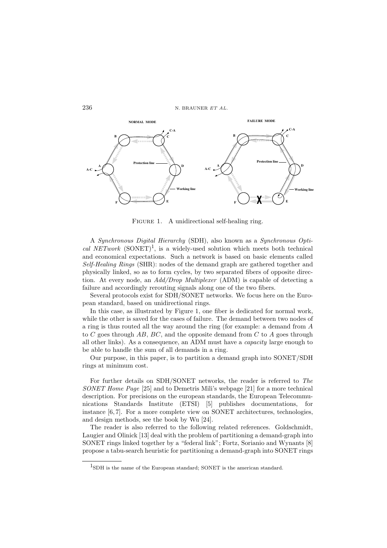

FIGURE 1. A unidirectional self-healing ring.

A *Synchronous Digital Hierarchy* (SDH), also known as a *Synchronous Optical NETwork* (SONET)<sup>1</sup>, is a widely-used solution which meets both technical and economical expectations. Such a network is based on basic elements called *Self-Healing Rings* (SHR): nodes of the demand graph are gathered together and physically linked, so as to form cycles, by two separated fibers of opposite direction. At every node, an *Add/Drop Multiplexer* (ADM) is capable of detecting a failure and accordingly rerouting signals along one of the two fibers.

Several protocols exist for SDH/SONET networks. We focus here on the European standard, based on unidirectional rings.

In this case, as illustrated by Figure 1, one fiber is dedicated for normal work, while the other is saved for the cases of failure. The demand between two nodes of a ring is thus routed all the way around the ring (for example: a demand from A to  $C$  goes through  $AB$ ,  $BC$ , and the opposite demand from  $C$  to  $A$  goes through all other links). As a consequence, an ADM must have a *capacity* large enough to be able to handle the sum of all demands in a ring.

Our purpose, in this paper, is to partition a demand graph into SONET/SDH rings at minimum cost.

For further details on SDH/SONET networks, the reader is referred to *The SONET Home Page* [25] and to Demetris Mili's webpage [21] for a more technical description. For precisions on the european standards, the European Telecommunications Standards Institute (ETSI) [5] publishes documentations, for instance [6, 7]. For a more complete view on SONET architectures, technologies, and design methods, see the book by Wu [24].

The reader is also referred to the following related references. Goldschmidt, Laugier and Olinick [13] deal with the problem of partitioning a demand-graph into SONET rings linked together by a "federal link"; Fortz, Sorianio and Wynants [8] propose a tabu-search heuristic for partitioning a demand-graph into SONET rings

<sup>1</sup>SDH is the name of the European standard; SONET is the american standard.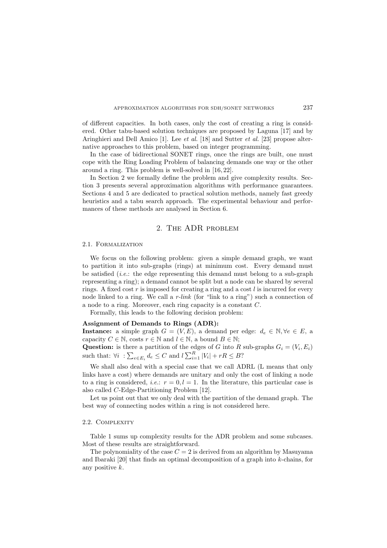of different capacities. In both cases, only the cost of creating a ring is considered. Other tabu-based solution techniques are proposed by Laguna [17] and by Aringhieri and Dell Amico [1]. Lee *et al.* [18] and Sutter *et al.* [23] propose alternative approaches to this problem, based on integer programming.

In the case of bidirectional SONET rings, once the rings are built, one must cope with the Ring Loading Problem of balancing demands one way or the other around a ring. This problem is well-solved in [16, 22].

In Section 2 we formally define the problem and give complexity results. Section 3 presents several approximation algorithms with performance guarantees. Sections 4 and 5 are dedicated to practical solution methods, namely fast greedy heuristics and a tabu search approach. The experimental behaviour and performances of these methods are analysed in Section 6.

# 2. The ADR problem

### 2.1. Formalization

We focus on the following problem: given a simple demand graph, we want to partition it into sub-graphs (rings) at minimum cost. Every demand must be satisfied (*i.e.*: the edge representing this demand must belong to a sub-graph representing a ring); a demand cannot be split but a node can be shared by several rings. A fixed cost  $r$  is imposed for creating a ring and a cost  $l$  is incurred for every node linked to a ring. We call a *r-link* (for "link to a ring") such a connection of a node to a ring. Moreover, each ring capacity is a constant C.

Formally, this leads to the following decision problem:

# **Assignment of Demands to Rings (ADR):**

**Instance:** a simple graph  $G = (V, E)$ , a demand per edge:  $d_e \in \mathbb{N}, \forall e \in E$ , a capacity  $C \in \mathbb{N}$ , costs  $r \in \mathbb{N}$  and  $l \in \mathbb{N}$ , a bound  $B \in \mathbb{N}$ ;

**Question:** is there a partition of the edges of G into R sub-graphs  $G_i = (V_i, E_i)$ such that:  $\forall i : \sum_{e \in E_i} d_e \leq C$  and  $l \sum_{i=1}^R |V_i| + rR \leq B$ ?

We shall also deal with a special case that we call ADRL (L means that only links have a cost) where demands are unitary and only the cost of linking a node to a ring is considered, *i.e.*:  $r = 0, l = 1$ . In the literature, this particular case is also called C-Edge-Partitioning Problem [12].

Let us point out that we only deal with the partition of the demand graph. The best way of connecting nodes within a ring is not considered here.

### 2.2. COMPLEXITY

Table 1 sums up complexity results for the ADR problem and some subcases. Most of these results are straightforward.

The polynomiality of the case  $C = 2$  is derived from an algorithm by Masuyama and Ibaraki [20] that finds an optimal decomposition of a graph into k-chains, for any positive k.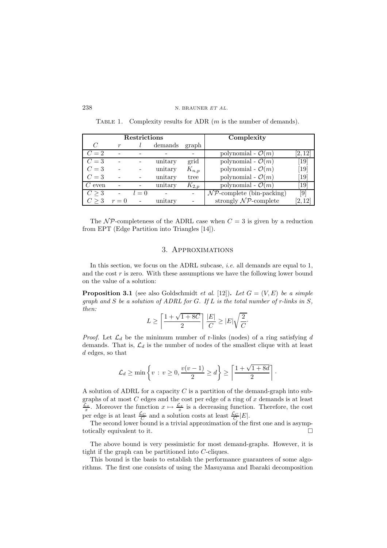| <b>Restrictions</b> |       |       |         | Complexity |                                        |                   |
|---------------------|-------|-------|---------|------------|----------------------------------------|-------------------|
| C                   | r     |       | demands | graph      |                                        |                   |
| $C=2$               |       |       |         |            | polynomial - $\mathcal{O}(m)$          | [2,12]            |
| $C=3$               |       |       | unitary | grid       | polynomial - $\mathcal{O}(m)$          | $\left[19\right]$ |
| $C=3$               |       |       | unitary | $K_{n,p}$  | polynomial - $\mathcal{O}(m)$          | $\left[19\right]$ |
| $C=3$               |       |       | unitary | tree       | polynomial - $\mathcal{O}(m)$          | 19                |
| $C$ even            |       |       | unitary | $K_{2,p}$  | polynomial - $\mathcal{O}(m)$          | 19                |
| C > 3               |       | $l=0$ |         |            | $\mathcal{NP}$ -complete (bin-packing) | $\left[9\right]$  |
| C > 3               | $r=0$ |       | unitary |            | strongly $\mathcal{NP}$ -complete      | [2, 12]           |

TABLE 1. Complexity results for ADR  $(m \text{ is the number of demands}).$ 

The  $\mathcal{NP}$ -completeness of the ADRL case when  $C = 3$  is given by a reduction from EPT (Edge Partition into Triangles [14]).

# 3. Approximations

In this section, we focus on the ADRL subcase, *i.e.* all demands are equal to 1, and the cost  $r$  is zero. With these assumptions we have the following lower bound on the value of a solution:

**Proposition 3.1** (see also Goldschmidt *et al.* [12]). Let  $G = (V, E)$  be a simple *graph and* S *be a solution of ADRL for* G*. If* L *is the total number of r-links in* S*, then:*

$$
L \geq \left\lceil \frac{1+\sqrt{1+8C}}{2} \right\rceil \frac{|E|}{C} \geq |E| \sqrt{\frac{2}{C}}.
$$

*Proof.* Let  $\mathcal{L}_d$  be the minimum number of r-links (nodes) of a ring satisfying d demands. That is,  $\mathcal{L}_d$  is the number of nodes of the smallest clique with at least d edges, so that

$$
\mathcal{L}_d \ge \min\left\{v \,:\, v \ge 0, \frac{v(v-1)}{2} \ge d\right\} \ge \left\lceil \frac{1 + \sqrt{1 + 8d}}{2} \right\rceil.
$$

A solution of ADRL for a capacity  $C$  is a partition of the demand-graph into subgraphs of at most  $C$  edges and the cost per edge of a ring of  $x$  demands is at least  $\frac{\mathcal{L}_x}{x}$ . Moreover the function  $x \mapsto \frac{\mathcal{L}_x}{x}$  is a decreasing function. Therefore, the cost per edge is at least  $\frac{\mathcal{L}_C}{C}$  and a solution costs at least  $\frac{\mathcal{L}_C}{C}|E|$ .

The second lower bound is a trivial approximation of the first one and is asymptotically equivalent to it.

The above bound is very pessimistic for most demand-graphs. However, it is tight if the graph can be partitioned into C-cliques.

This bound is the basis to establish the performance guarantees of some algorithms. The first one consists of using the Masuyama and Ibaraki decomposition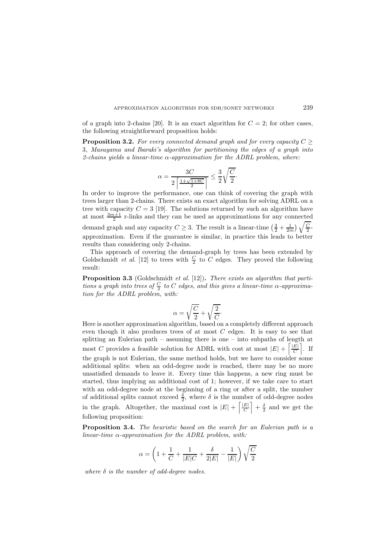of a graph into 2-chains [20]. It is an exact algorithm for  $C = 2$ ; for other cases, the following straightforward proposition holds:

**Proposition 3.2.** For every connected demand graph and for every capacity  $C \geq$ 3*, Masuyama and Ibaraki's algorithm for partitioning the edges of a graph into 2-chains yields a linear-time* α*-approximation for the ADRL problem, where:*

$$
\alpha = \frac{3C}{2\left\lceil \frac{1+\sqrt{1+8C}}{2} \right\rceil} \le \frac{3}{2} \sqrt{\frac{C}{2}}.
$$

In order to improve the performance, one can think of covering the graph with trees larger than 2-chains. There exists an exact algorithm for solving ADRL on a tree with capacity  $C = 3$  [19]. The solutions returned by such an algorithm have at most  $\frac{3m+1}{2}$  r-links and they can be used as approximations for any connected demand graph and any capacity  $C \geq 3$ . The result is a linear-time  $\left(\frac{3}{2} + \frac{1}{2m}\right)\sqrt{\frac{C}{2}}$ approximation. Even if the guarantee is similar, in practice this leads to better results than considering only 2-chains.

This approach of covering the demand-graph by trees has been extended by Goldschmidt *et al.* [12] to trees with  $\frac{C}{2}$  to  $C$  edges. They proved the following result:

**Proposition 3.3** (Goldschmidt *et al.* [12])**.** *There exists an algorithm that parti* $tions$  *a graph into trees of*  $\frac{C}{2}$  *to*  $C$  *edges, and this gives a linear-time*  $\alpha$ *-approximation for the ADRL problem, with:*

$$
\alpha = \sqrt{\frac{C}{2}} + \sqrt{\frac{2}{C}}.
$$

Here is another approximation algorithm, based on a completely different approach even though it also produces trees of at most C edges. It is easy to see that splitting an Eulerian path – assuming there is one – into subpaths of length at most C provides a feasible solution for ADRL with cost at most  $|E| + \left[\frac{|E|}{C}\right]$ . If the graph is not Eulerian, the same method holds, but we have to consider some additional splits: when an odd-degree node is reached, there may be no more unsatisfied demands to leave it. Every time this happens, a new ring must be started, thus implying an additional cost of 1; however, if we take care to start with an odd-degree node at the beginning of a ring or after a split, the number of additional splits cannot exceed  $\frac{\delta}{2}$ , where  $\delta$  is the number of odd-degree nodes in the graph. Altogether, the maximal cost is  $|E| + \left[\frac{|E|}{C}\right] + \frac{\delta}{2}$  and we get the following proposition:

**Proposition 3.4.** *The heuristic based on the search for an Eulerian path is a linear-time* α*-approximation for the ADRL problem, with:*

$$
\alpha=\left(1+\frac{1}{C}+\frac{1}{|E|C}+\frac{\delta}{2|E|}-\frac{1}{|E|}\right)\sqrt{\frac{C}{2}}
$$

*where* δ *is the number of odd-degree nodes.*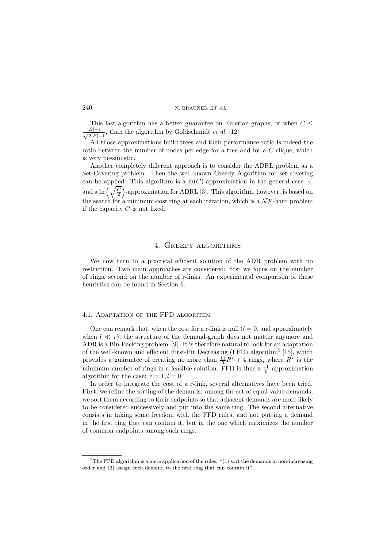This last algorithm has a better guarantee on Eulerian graphs, or when  $C \leq$  $\frac{|E|-1}{\sqrt{2|E|}}$  $\frac{E|-1}{2|E|-1}$ , than the algorithm by Goldschmidt *et al.* [12].

All those approximations build trees and their performance ratio is indeed the ratio between the number of nodes per edge for a tree and for a C-clique, which is very pessimistic.

Another completely different approach is to consider the ADRL problem as a Set-Covering problem. Then the well-known Greedy Algorithm for set-covering can be applied. This algorithm is a  $ln(C)$ -approximation in the general case [4] and a ln  $\left(\sqrt{\frac{C}{2}}\right)$ -approximation for ADRL [3]. This algorithm, however, is based on the search for a minimum-cost ring at each iteration, which is a  $\mathcal{NP}$ -hard problem if the capacity  $C$  is not fixed.

# 4. Greedy algorithms

We now turn to a practical efficient solution of the ADR problem with no restriction. Two main approaches are considered: first we focus on the number of rings, second on the number of r-links. An experimental comparison of these heuristics can be found in Section 6.

#### 4.1. Adaptation of the FFD algorithm

One can remark that, when the cost for a r-link is null  $(l = 0)$ , and approximately when  $l \ll r$ ), the structure of the demand-graph does not matter anymore and ADR is a Bin-Packing problem [9]. It is therefore natural to look for an adaptation of the well-known and efficient First-Fit Decreasing  $(FFD)$  algorithm<sup>2</sup> [15], which provides a guarantee of creating no more than  $\frac{11}{9}R^* + 4$  rings, where  $R^*$  is the minimum number of rings in a feasible solution. FFD is thus a  $\frac{11}{9}$ -approximation algorithm for the case:  $r = 1, l = 0$ .

In order to integrate the cost of a r-link, several alternatives have been tried. First, we refine the sorting of the demands: among the set of equal-value demands, we sort them according to their endpoints so that adjacent demands are more likely to be considered successively and put into the same ring. The second alternative consists in taking some freedom with the FFD rules, and not putting a demand in the first ring that can contain it, but in the one which maximizes the number of common endpoints among such rings.

<sup>&</sup>lt;sup>2</sup>The FFD algorithm is a mere application of the rules:  $"(1)$  sort the demands in non-increasing order and (2) assign each demand to the first ring that can contain it".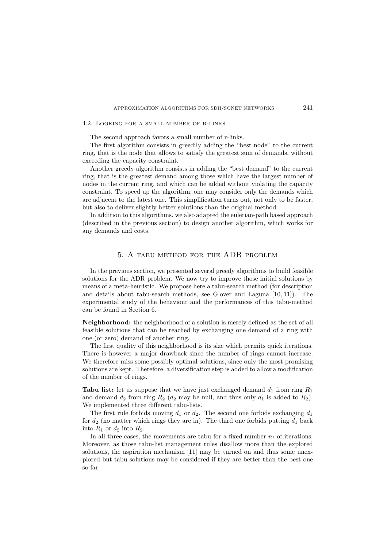#### 4.2. Looking for a small number of r-links

The second approach favors a small number of r-links.

The first algorithm consists in greedily adding the "best node" to the current ring, that is the node that allows to satisfy the greatest sum of demands, without exceeding the capacity constraint.

Another greedy algorithm consists in adding the "best demand" to the current ring, that is the greatest demand among those which have the largest number of nodes in the current ring, and which can be added without violating the capacity constraint. To speed up the algorithm, one may consider only the demands which are adjacent to the latest one. This simplification turns out, not only to be faster, but also to deliver slightly better solutions than the original method.

In addition to this algorithms, we also adapted the eulerian-path based approach (described in the previous section) to design another algorithm, which works for any demands and costs.

### 5. A tabu method for the ADR problem

In the previous section, we presented several greedy algorithms to build feasible solutions for the ADR problem. We now try to improve those initial solutions by means of a meta-heuristic. We propose here a tabu-search method (for description and details about tabu-search methods, see Glover and Laguna [10, 11]). The experimental study of the behaviour and the performances of this tabu-method can be found in Section 6.

**Neighborhood:** the neighborhood of a solution is merely defined as the set of all feasible solutions that can be reached by exchanging one demand of a ring with one (or zero) demand of another ring.

The first quality of this neighborhood is its size which permits quick iterations. There is however a major drawback since the number of rings cannot increase. We therefore miss some possibly optimal solutions, since only the most promising solutions are kept. Therefore, a diversification step is added to allow a modification of the number of rings.

**Tabu list:** let us suppose that we have just exchanged demand  $d_1$  from ring  $R_1$ and demand  $d_2$  from ring  $R_2$  ( $d_2$  may be null, and thus only  $d_1$  is added to  $R_2$ ). We implemented three different tabu-lists.

The first rule forbids moving  $d_1$  or  $d_2$ . The second one forbids exchanging  $d_1$ for  $d_2$  (no matter which rings they are in). The third one forbids putting  $d_1$  back into  $R_1$  or  $d_2$  into  $R_2$ .

In all three cases, the movements are tabu for a fixed number  $n_t$  of iterations. Moreover, as those tabu-list management rules disallow more than the explored solutions, the aspiration mechanism [11] may be turned on and thus some unexplored but tabu solutions may be considered if they are better than the best one so far.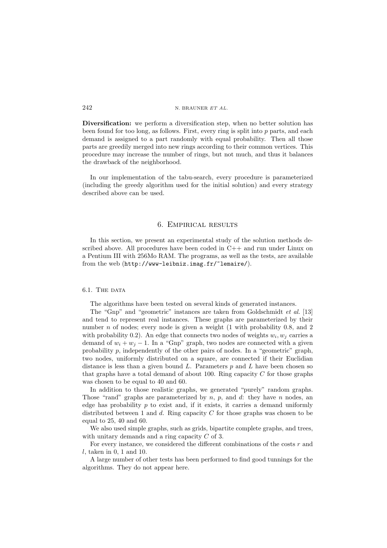**Diversification:** we perform a diversification step, when no better solution has been found for too long, as follows. First, every ring is split into  $p$  parts, and each demand is assigned to a part randomly with equal probability. Then all those parts are greedily merged into new rings according to their common vertices. This procedure may increase the number of rings, but not much, and thus it balances the drawback of the neighborhood.

In our implementation of the tabu-search, every procedure is parameterized (including the greedy algorithm used for the initial solution) and every strategy described above can be used.

# 6. Empirical results

In this section, we present an experimental study of the solution methods described above. All procedures have been coded in  $C_{++}$  and run under Linux on a Pentium III with 256Mo RAM. The programs, as well as the tests, are available from the web (http://www-leibniz.imag.fr/~lemaire/).

### 6.1. THE DATA

The algorithms have been tested on several kinds of generated instances.

The "Gnp" and "geometric" instances are taken from Goldschmidt *et al.* [13] and tend to represent real instances. These graphs are parameterized by their number  $n$  of nodes; every node is given a weight (1 with probability 0.8, and 2 with probability 0.2). An edge that connects two nodes of weights  $w_i, w_j$  carries a demand of  $w_i + w_j - 1$ . In a "Gnp" graph, two nodes are connected with a given probability  $p$ , independently of the other pairs of nodes. In a "geometric" graph, two nodes, uniformly distributed on a square, are connected if their Euclidian distance is less than a given bound  $L$ . Parameters  $p$  and  $L$  have been chosen so that graphs have a total demand of about 100. Ring capacity  $C$  for those graphs was chosen to be equal to 40 and 60.

In addition to those realistic graphs, we generated "purely" random graphs. Those "rand" graphs are parameterized by  $n, p$ , and  $d$ : they have n nodes, an edge has probability  $p$  to exist and, if it exists, it carries a demand uniformly distributed between 1 and  $d$ . Ring capacity  $C$  for those graphs was chosen to be equal to 25, 40 and 60.

We also used simple graphs, such as grids, bipartite complete graphs, and trees, with unitary demands and a ring capacity C of 3.

For every instance, we considered the different combinations of the costs  $r$  and  $l$ , taken in 0, 1 and 10.

A large number of other tests has been performed to find good tunnings for the algorithms. They do not appear here.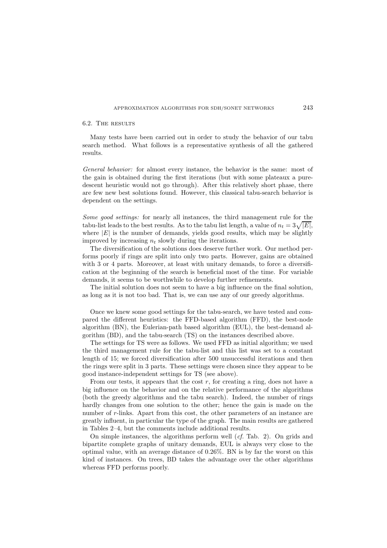# 6.2. The results

Many tests have been carried out in order to study the behavior of our tabu search method. What follows is a representative synthesis of all the gathered results.

*General behavior:* for almost every instance, the behavior is the same: most of the gain is obtained during the first iterations (but with some plateaux a puredescent heuristic would not go through). After this relatively short phase, there are few new best solutions found. However, this classical tabu-search behavior is dependent on the settings.

*Some good settings:* for nearly all instances, the third management rule for the tabu-list leads to the best results. As to the tabu list length, a value of  $n_t = 3\sqrt{|E|}$ , where  $|E|$  is the number of demands, yields good results, which may be slightly improved by increasing  $n_t$  slowly during the iterations.

The diversification of the solutions does deserve further work. Our method performs poorly if rings are split into only two parts. However, gains are obtained with 3 or 4 parts. Moreover, at least with unitary demands, to force a diversification at the beginning of the search is beneficial most of the time. For variable demands, it seems to be worthwhile to develop further refinements.

The initial solution does not seem to have a big influence on the final solution, as long as it is not too bad. That is, we can use any of our greedy algorithms.

Once we knew some good settings for the tabu-search, we have tested and compared the different heuristics: the FFD-based algorithm (FFD), the best-node algorithm (BN), the Eulerian-path based algorithm (EUL), the best-demand algorithm (BD), and the tabu-search (TS) on the instances described above.

The settings for TS were as follows. We used FFD as initial algorithm; we used the third management rule for the tabu-list and this list was set to a constant length of 15; we forced diversification after 500 unsuccessful iterations and then the rings were split in 3 parts. These settings were chosen since they appear to be good instance-independent settings for TS (see above).

From our tests, it appears that the cost r, for creating a ring, does not have a big influence on the behavior and on the relative performance of the algorithms (both the greedy algorithms and the tabu search). Indeed, the number of rings hardly changes from one solution to the other; hence the gain is made on the number of r-links. Apart from this cost, the other parameters of an instance are greatly influent, in particular the type of the graph. The main results are gathered in Tables 2–4, but the comments include additional results.

On simple instances, the algorithms perform well (*cf.* Tab. 2). On grids and bipartite complete graphs of unitary demands, EUL is always very close to the optimal value, with an average distance of 0.26%. BN is by far the worst on this kind of instances. On trees, BD takes the advantage over the other algorithms whereas FFD performs poorly.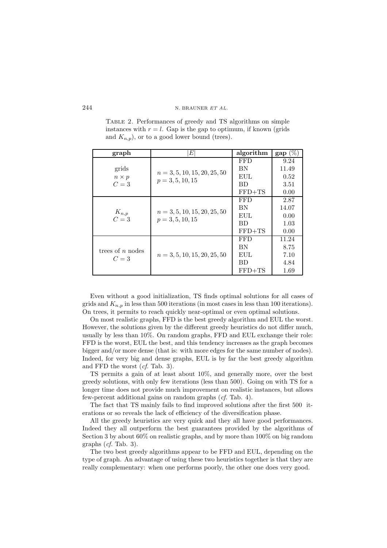Table 2. Performances of greedy and TS algorithms on simple instances with  $r = l$ . Gap is the gap to optimum, if known (grids and  $K_{n,p}$ , or to a good lower bound (trees).

| graph                | Е                                                    | algorithm  | $\%$<br>gap |
|----------------------|------------------------------------------------------|------------|-------------|
|                      |                                                      | <b>FFD</b> | 9.24        |
| grids                | $n = 3, 5, 10, 15, 20, 25, 50$<br>$p = 3, 5, 10, 15$ | BN         | 11.49       |
| $n \times p$         |                                                      | EUL        | 0.52        |
| $C=3$                |                                                      | <b>BD</b>  | 3.51        |
|                      |                                                      | $FFD+TS$   | 0.00        |
|                      |                                                      | <b>FFD</b> | 2.87        |
|                      | $n = 3, 5, 10, 15, 20, 25, 50$<br>$p = 3, 5, 10, 15$ | BN         | 14.07       |
| $K_{n,p}$<br>$C = 3$ |                                                      | EUL        | 0.00        |
|                      |                                                      | <b>BD</b>  | 1.03        |
|                      |                                                      | $FFD+TS$   | 0.00        |
|                      |                                                      | <b>FFD</b> | 11.24       |
| trees of $n$ nodes   |                                                      | BN         | 8.75        |
|                      | $n = 3, 5, 10, 15, 20, 25, 50$                       | EUL        | 7.10        |
| $C=3$                |                                                      | <b>BD</b>  | 4.84        |
|                      |                                                      | $FFD+TS$   | 1.69        |

Even without a good initialization, TS finds optimal solutions for all cases of grids and  $K_{n,p}$  in less than 500 iterations (in most cases in less than 100 iterations). On trees, it permits to reach quickly near-optimal or even optimal solutions.

On most realistic graphs, FFD is the best greedy algorithm and EUL the worst. However, the solutions given by the different greedy heuristics do not differ much, usually by less than 10%. On random graphs, FFD and EUL exchange their role: FFD is the worst, EUL the best, and this tendency increases as the graph becomes bigger and/or more dense (that is: with more edges for the same number of nodes). Indeed, for very big and dense graphs, EUL is by far the best greedy algorithm and FFD the worst (*cf.* Tab. 3).

TS permits a gain of at least about 10%, and generally more, over the best greedy solutions, with only few iterations (less than 500). Going on with TS for a longer time does not provide much improvement on realistic instances, but allows few-percent additional gains on random graphs (*cf.* Tab. 4).

The fact that TS mainly fails to find improved solutions after the first 500 iterations or so reveals the lack of efficiency of the diversification phase.

All the greedy heuristics are very quick and they all have good performances. Indeed they all outperform the best guarantees provided by the algorithms of Section 3 by about 60% on realistic graphs, and by more than 100% on big random graphs (*cf.* Tab. 3).

The two best greedy algorithms appear to be FFD and EUL, depending on the type of graph. An advantage of using these two heuristics together is that they are really complementary: when one performs poorly, the other one does very good.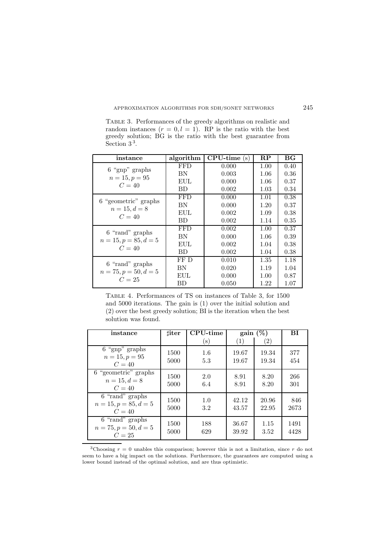Table 3. Performances of the greedy algorithms on realistic and random instances  $(r = 0, l = 1)$ . RP is the ratio with the best greedy solution; BG is the ratio with the best guarantee from Section 3<sup>3</sup>.

| instance                          | algorithm  | $CPU-time(s)$ | $\mathbf{RP}$ | $_{\rm BG}$ |
|-----------------------------------|------------|---------------|---------------|-------------|
| $6$ "gnp" graphs                  | <b>FFD</b> | 0.000         | 1.00          | 0.40        |
|                                   | BN         | 0.003         | 1.06          | 0.36        |
| $n = 15, p = 95$<br>$C=40$        | EUL.       | 0.000         | 1.06          | 0.37        |
|                                   | <b>BD</b>  | 0.002         | 1.03          | 0.34        |
| 6 "geometric" graphs              | <b>FFD</b> | 0.000         | 1.01          | 0.38        |
|                                   | BN         | 0.000         | 1.20          | 0.37        |
| $n = 15, d = 8$<br>$C=40$         | EUL.       | 0.002         | 1.09          | 0.38        |
|                                   | <b>BD</b>  | 0.002         | 1.14          | 0.35        |
| 6 "rand" graphs                   | <b>FFD</b> | 0.002         | 1.00          | 0.37        |
|                                   | BN         | 0.000         | 1.06          | 0.39        |
| $n = 15, p = 85, d = 5$<br>$C=40$ | EUL.       | 0.002         | 1.04          | 0.38        |
|                                   | <b>BD</b>  | 0.002         | 1.04          | 0.38        |
|                                   | FF D       | 0.010         | 1.35          | 1.18        |
| 6 "rand" graphs                   | BN         | 0.020         | 1.19          | 1.04        |
| $n = 75, p = 50, d = 5$<br>$C=25$ | EUL.       | 0.000         | 1.00          | 0.87        |
|                                   | ВD         | 0.050         | 1.22          | 1.07        |

Table 4. Performances of TS on instances of Table 3, for 1500 and 5000 iterations. The gain is (1) over the initial solution and (2) over the best greedy solution; BI is the iteration when the best solution was found.

| instance                                             | <b>liter</b> | <b>CPU-time</b> | $gain(\%)$       |                   | ВI           |
|------------------------------------------------------|--------------|-----------------|------------------|-------------------|--------------|
|                                                      |              | $(\mathbf{s})$  | $\left(1\right)$ | $\left( 2\right)$ |              |
| $6$ "gnp" graphs<br>$n = 15, p = 95$<br>$C=40$       | 1500<br>5000 | 1.6<br>5.3      | 19.67<br>19.67   | 19.34<br>19.34    | 377<br>454   |
| 6 "geometric" graphs<br>$n = 15, d = 8$<br>$C=40$    | 1500<br>5000 | 2.0<br>6.4      | 8.91<br>8.91     | 8.20<br>8.20      | 266<br>301   |
| 6 "rand" graphs<br>$n = 15, p = 85, d = 5$<br>$C=40$ | 1500<br>5000 | 1.0<br>3.2      | 42.12<br>43.57   | 20.96<br>22.95    | 846<br>2673  |
| 6 "rand" graphs<br>$n = 75, p = 50, d = 5$<br>$C=25$ | 1500<br>5000 | 188<br>629      | 36.67<br>39.92   | 1.15<br>3.52      | 1491<br>4428 |

<sup>&</sup>lt;sup>3</sup>Choosing  $r = 0$  unables this comparison; however this is not a limitation, since  $r$  do not seem to have a big impact on the solutions. Furthermore, the guarantees are computed using a lower bound instead of the optimal solution, and are thus optimistic.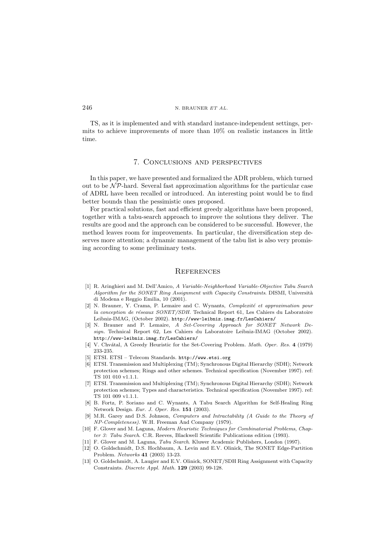TS, as it is implemented and with standard instance-independent settings, permits to achieve improvements of more than 10% on realistic instances in little time.

# 7. Conclusions and perspectives

In this paper, we have presented and formalized the ADR problem, which turned out to be  $\mathcal{NP}$ -hard. Several fast approximation algorithms for the particular case of ADRL have been recalled or introduced. An interesting point would be to find better bounds than the pessimistic ones proposed.

For practical solutions, fast and efficient greedy algorithms have been proposed, together with a tabu-search approach to improve the solutions they deliver. The results are good and the approach can be considered to be successful. However, the method leaves room for improvements. In particular, the diversification step deserves more attention; a dynamic management of the tabu list is also very promising according to some preliminary tests.

### **REFERENCES**

- [1] R. Aringhieri and M. Dell'Amico, *A Variable-Neighborhood Variable-Objective Tabu Search Algorithm for the SONET Ring Assignment with Capacity Constraints*. DISMI, Università di Modena e Reggio Emilia, 10 (2001).
- [2] N. Brauner, Y. Crama, P. Lemaire and C. Wynants, *Complexit´e et approximation pour* la conception de réseaux SONET/SDH. Technical Report 61, Les Cahiers du Laboratoire Leibniz-IMAG, (October 2002). http://www-leibniz.imag.fr/LesCahiers/
- [3] N. Brauner and P. Lemaire, *A Set-Covering Approach for SONET Network Design.* Technical Report 62, Les Cahiers du Laboratoire Leibniz-IMAG (October 2002). http://www-leibniz.imag.fr/LesCahiers/
- [4] V. Chv´atal, A Greedy Heuristic for the Set-Covering Problem. *Math. Oper. Res.* **4** (1979) 233-235.
- [5] ETSI. ETSI Telecom Standards. http://www.etsi.org
- [6] ETSI. Transmission and Multiplexing (TM); Synchronous Digital Hierarchy (SDH); Network protection schemes; Rings and other schemes. Technical specification (November 1997). ref: TS 101 010 v1.1.1.
- [7] ETSI. Transmission and Multiplexing (TM); Synchronous Digital Hierarchy (SDH); Network protection schemes; Types and characteristics. Technical specification (November 1997). ref: TS 101 009 v1.1.1.
- [8] B. Fortz, P. Soriano and C. Wynants, A Tabu Search Algorithm for Self-Healing Ring Network Design. *Eur. J. Oper. Res.* **151** (2003).
- [9] M.R. Garey and D.S. Johnson, *Computers and Intractability (A Guide to the Theory of NP-Completeness)*. W.H. Freeman And Company (1979).
- [10] F. Glover and M. Laguna, *Modern Heuristic Techniques for Combinatorial Problems*, *Chapter 3: Tabu Search*. C.R. Reeves, Blackwell Scientific Publications edition (1993).
- [11] F. Glover and M. Laguna, *Tabu Search*. Kluwer Academic Publishers, London (1997).
- [12] O. Goldschmidt, D.S. Hochbaum, A. Levin and E.V. Olinick, The SONET Edge-Partition Problem. *Networks* **41** (2003) 13-23.
- [13] O. Goldschmidt, A. Laugier and E.V. Olinick, SONET/SDH Ring Assignment with Capacity Constraints. *Discrete Appl. Math.* **129** (2003) 99-128.